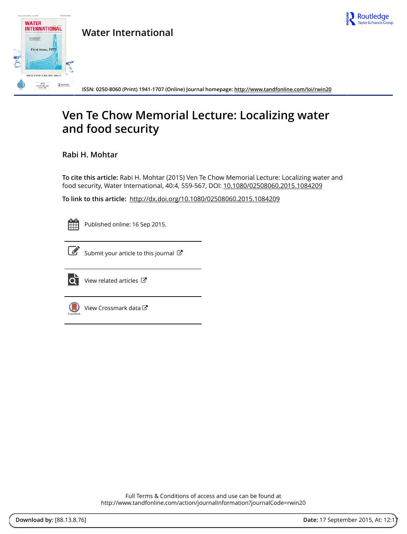

## **WATER INTERNATIONAL**  $\begin{array}{l} \mbox{SFR} \rightarrow \mbox{MHS} \rightarrow \mbox{MHS} \rightarrow \mbox{MHS} \rightarrow \mbox{MHS} \rightarrow \mbox{MHS} \rightarrow \mbox{MHS} \rightarrow \mbox{MHS} \rightarrow \mbox{MHS} \rightarrow \mbox{MHS} \rightarrow \mbox{MHS} \rightarrow \mbox{MHS} \rightarrow \mbox{MHS} \rightarrow \mbox{MHS} \rightarrow \mbox{MHS} \rightarrow \mbox{MHS} \rightarrow \mbox{MHS} \rightarrow \mbox{MHS} \rightarrow \mbox{MHS} \rightarrow \mbox{MHS} \rightarrow \mbox{MHS} \rightarrow \mbox{MHS} \rightarrow \mbox{MHS} \rightarrow \mbox{MHS$ First issue, 1975

 $\mathbf{R}$  Routledge

40TH ANNIVERSARY ISSUE ANNIVERSARY<br>VOLUME

**Water International**

**ISSN: 0250-8060 (Print) 1941-1707 (Online) Journal homepage:<http://www.tandfonline.com/loi/rwin20>**

# **Ven Te Chow Memorial Lecture: Localizing water and food security**

**Rabi H. Mohtar**

**To cite this article:** Rabi H. Mohtar (2015) Ven Te Chow Memorial Lecture: Localizing water and food security, Water International, 40:4, 559-567, DOI: [10.1080/02508060.2015.1084209](http://www.tandfonline.com/action/showCitFormats?doi=10.1080/02508060.2015.1084209)

**To link to this article:** <http://dx.doi.org/10.1080/02508060.2015.1084209>

| -<br><b>Service Service</b> | <b>Service Service</b> |  |
|-----------------------------|------------------------|--|
|                             |                        |  |
|                             |                        |  |
|                             |                        |  |

Published online: 16 Sep 2015.



 $\overline{\mathscr{L}}$  [Submit your article to this journal](http://www.tandfonline.com/action/authorSubmission?journalCode=rwin20&page=instructions)  $\mathscr{L}$ 



[View related articles](http://www.tandfonline.com/doi/mlt/10.1080/02508060.2015.1084209)  $C$ 



[View Crossmark data](http://crossmark.crossref.org/dialog/?doi=10.1080/02508060.2015.1084209&domain=pdf&date_stamp=2015-09-16)

Full Terms & Conditions of access and use can be found at <http://www.tandfonline.com/action/journalInformation?journalCode=rwin20>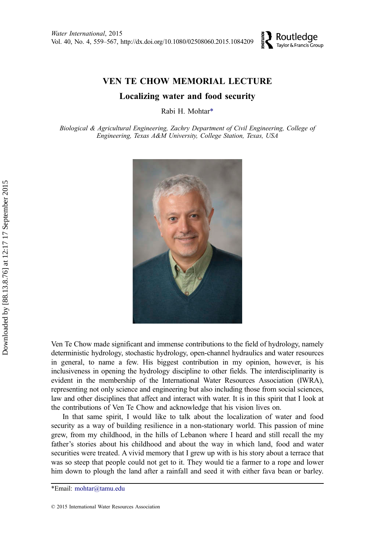

## VEN TE CHOW MEMORIAL LECTURE

### Localizing water and food security

Rabi H. Mohtar\*

Biological & Agricultural Engineering, Zachry Department of Civil Engineering, College of Engineering, Texas A&M University, College Station, Texas, USA



Ven Te Chow made significant and immense contributions to the field of hydrology, namely deterministic hydrology, stochastic hydrology, open-channel hydraulics and water resources in general, to name a few. His biggest contribution in my opinion, however, is his inclusiveness in opening the hydrology discipline to other fields. The interdisciplinarity is evident in the membership of the International Water Resources Association (IWRA), representing not only science and engineering but also including those from social sciences, law and other disciplines that affect and interact with water. It is in this spirit that I look at the contributions of Ven Te Chow and acknowledge that his vision lives on.

In that same spirit, I would like to talk about the localization of water and food security as a way of building resilience in a non-stationary world. This passion of mine grew, from my childhood, in the hills of Lebanon where I heard and still recall the my father's stories about his childhood and about the way in which land, food and water securities were treated. A vivid memory that I grew up with is his story about a terrace that was so steep that people could not get to it. They would tie a farmer to a rope and lower him down to plough the land after a rainfall and seed it with either fava bean or barley.

<sup>\*</sup>Email: mohtar@tamu.edu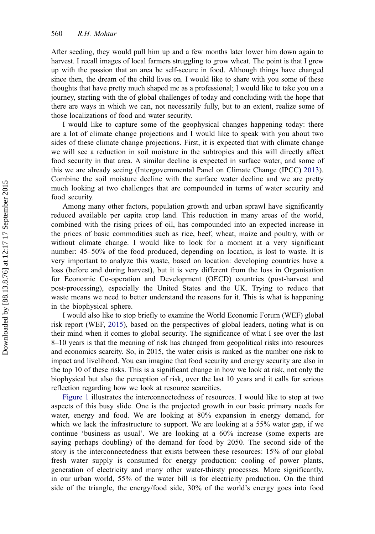After seeding, they would pull him up and a few months later lower him down again to harvest. I recall images of local farmers struggling to grow wheat. The point is that I grew up with the passion that an area be self-secure in food. Although things have changed since then, the dream of the child lives on. I would like to share with you some of these thoughts that have pretty much shaped me as a professional; I would like to take you on a journey, starting with the of global challenges of today and concluding with the hope that there are ways in which we can, not necessarily fully, but to an extent, realize some of those localizations of food and water security.

I would like to capture some of the geophysical changes happening today: there are a lot of climate change projections and I would like to speak with you about two sides of these climate change projections. First, it is expected that with climate change we will see a reduction in soil moisture in the subtropics and this will directly affect food security in that area. A similar decline is expected in surface water, and some of this we are already seeing (Intergovernmental Panel on Climate Change (IPCC) [2013](#page-8-0)). Combine the soil moisture decline with the surface water decline and we are pretty much looking at two challenges that are compounded in terms of water security and food security.

Among many other factors, population growth and urban sprawl have significantly reduced available per capita crop land. This reduction in many areas of the world, combined with the rising prices of oil, has compounded into an expected increase in the prices of basic commodities such as rice, beef, wheat, maize and poultry, with or without climate change. I would like to look for a moment at a very significant number: 45–50% of the food produced, depending on location, is lost to waste. It is very important to analyze this waste, based on location: developing countries have a loss (before and during harvest), but it is very different from the loss in Organisation for Economic Co-operation and Development (OECD) countries (post-harvest and post-processing), especially the United States and the UK. Trying to reduce that waste means we need to better understand the reasons for it. This is what is happening in the biophysical sphere.

I would also like to stop briefly to examine the World Economic Forum (WEF) global risk report (WEF, [2015](#page-9-0)), based on the perspectives of global leaders, noting what is on their mind when it comes to global security. The significance of what I see over the last 8–10 years is that the meaning of risk has changed from geopolitical risks into resources and economics scarcity. So, in 2015, the water crisis is ranked as the number one risk to impact and livelihood. You can imagine that food security and energy security are also in the top 10 of these risks. This is a significant change in how we look at risk, not only the biophysical but also the perception of risk, over the last 10 years and it calls for serious reflection regarding how we look at resource scarcities.

[Figure 1](#page-3-0) illustrates the interconnectedness of resources. I would like to stop at two aspects of this busy slide. One is the projected growth in our basic primary needs for water, energy and food. We are looking at 80% expansion in energy demand, for which we lack the infrastructure to support. We are looking at a 55% water gap, if we continue 'business as usual'. We are looking at a 60% increase (some experts are saying perhaps doubling) of the demand for food by 2050. The second side of the story is the interconnectedness that exists between these resources: 15% of our global fresh water supply is consumed for energy production: cooling of power plants, generation of electricity and many other water-thirsty processes. More significantly, in our urban world, 55% of the water bill is for electricity production. On the third side of the triangle, the energy/food side, 30% of the world's energy goes into food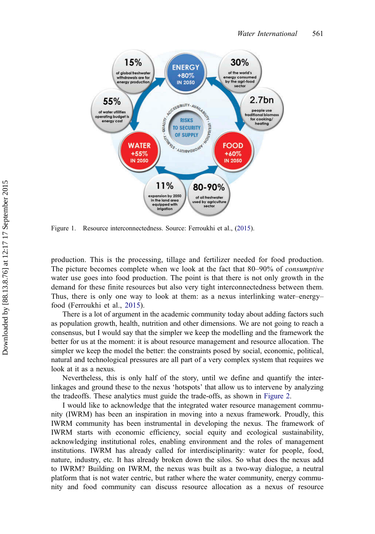<span id="page-3-0"></span>

Figure 1. Resource interconnectedness. Source: Ferroukhi et al., ([2015\)](#page-8-0).

production. This is the processing, tillage and fertilizer needed for food production. The picture becomes complete when we look at the fact that 80–90% of consumptive water use goes into food production. The point is that there is not only growth in the demand for these finite resources but also very tight interconnectedness between them. Thus, there is only one way to look at them: as a nexus interlinking water–energy– food (Ferroukhi et al., [2015\)](#page-8-0).

There is a lot of argument in the academic community today about adding factors such as population growth, health, nutrition and other dimensions. We are not going to reach a consensus, but I would say that the simpler we keep the modelling and the framework the better for us at the moment: it is about resource management and resource allocation. The simpler we keep the model the better: the constraints posed by social, economic, political, natural and technological pressures are all part of a very complex system that requires we look at it as a nexus.

Nevertheless, this is only half of the story, until we define and quantify the interlinkages and ground these to the nexus 'hotspots' that allow us to intervene by analyzing the tradeoffs. These analytics must guide the trade-offs, as shown in [Figure 2](#page-4-0).

I would like to acknowledge that the integrated water resource management community (IWRM) has been an inspiration in moving into a nexus framework. Proudly, this IWRM community has been instrumental in developing the nexus. The framework of IWRM starts with economic efficiency, social equity and ecological sustainability, acknowledging institutional roles, enabling environment and the roles of management institutions. IWRM has already called for interdisciplinarity: water for people, food, nature, industry, etc. It has already broken down the silos. So what does the nexus add to IWRM? Building on IWRM, the nexus was built as a two-way dialogue, a neutral platform that is not water centric, but rather where the water community, energy community and food community can discuss resource allocation as a nexus of resource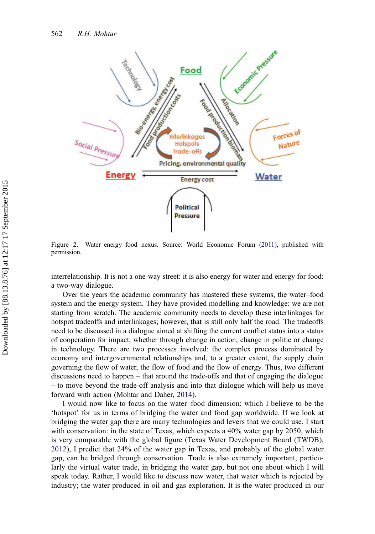<span id="page-4-0"></span>

Figure 2. Water–energy–food nexus. Source: World Economic Forum [\(2011](#page-9-0)), published with permission.

interrelationship. It is not a one-way street: it is also energy for water and energy for food: a two-way dialogue.

Over the years the academic community has mastered these systems, the water–food system and the energy system. They have provided modelling and knowledge: we are not starting from scratch. The academic community needs to develop these interlinkages for hotspot tradeoffs and interlinkages; however, that is still only half the road. The tradeoffs need to be discussed in a dialogue aimed at shifting the current conflict status into a status of cooperation for impact, whether through change in action, change in politic or change in technology. There are two processes involved: the complex process dominated by economy and intergovernmental relationships and, to a greater extent, the supply chain governing the flow of water, the flow of food and the flow of energy. Thus, two different discussions need to happen – that around the trade-offs and that of engaging the dialogue – to move beyond the trade-off analysis and into that dialogue which will help us move forward with action (Mohtar and Daher, [2014\)](#page-8-0).

I would now like to focus on the water–food dimension: which I believe to be the 'hotspot' for us in terms of bridging the water and food gap worldwide. If we look at bridging the water gap there are many technologies and levers that we could use. I start with conservation: in the state of Texas, which expects a 40% water gap by 2050, which is very comparable with the global figure (Texas Water Development Board (TWDB), [2012\)](#page-9-0), I predict that 24% of the water gap in Texas, and probably of the global water gap, can be bridged through conservation. Trade is also extremely important, particularly the virtual water trade, in bridging the water gap, but not one about which I will speak today. Rather, I would like to discuss new water, that water which is rejected by industry; the water produced in oil and gas exploration. It is the water produced in our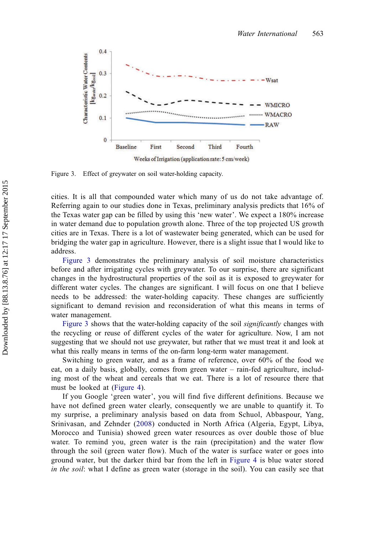

Figure 3. Effect of greywater on soil water-holding capacity.

cities. It is all that compounded water which many of us do not take advantage of. Referring again to our studies done in Texas, preliminary analysis predicts that 16% of the Texas water gap can be filled by using this 'new water'. We expect a 180% increase in water demand due to population growth alone. Three of the top projected US growth cities are in Texas. There is a lot of wastewater being generated, which can be used for bridging the water gap in agriculture. However, there is a slight issue that I would like to address.

Figure 3 demonstrates the preliminary analysis of soil moisture characteristics before and after irrigating cycles with greywater. To our surprise, there are significant changes in the hydrostructural properties of the soil as it is exposed to greywater for different water cycles. The changes are significant. I will focus on one that I believe needs to be addressed: the water-holding capacity. These changes are sufficiently significant to demand revision and reconsideration of what this means in terms of water management.

Figure 3 shows that the water-holding capacity of the soil *significantly* changes with the recycling or reuse of different cycles of the water for agriculture. Now, I am not suggesting that we should not use greywater, but rather that we must treat it and look at what this really means in terms of the on-farm long-term water management.

Switching to green water, and as a frame of reference, over 60% of the food we eat, on a daily basis, globally, comes from green water – rain-fed agriculture, including most of the wheat and cereals that we eat. There is a lot of resource there that must be looked at [\(Figure 4\)](#page-6-0).

If you Google 'green water', you will find five different definitions. Because we have not defined green water clearly, consequently we are unable to quantify it. To my surprise, a preliminary analysis based on data from Schuol, Abbaspour, Yang, Srinivasan, and Zehnder [\(2008](#page-9-0)) conducted in North Africa (Algeria, Egypt, Libya, Morocco and Tunisia) showed green water resources as over double those of blue water. To remind you, green water is the rain (precipitation) and the water flow through the soil (green water flow). Much of the water is surface water or goes into ground water, but the darker third bar from the left in [Figure 4](#page-6-0) is blue water stored in the soil: what I define as green water (storage in the soil). You can easily see that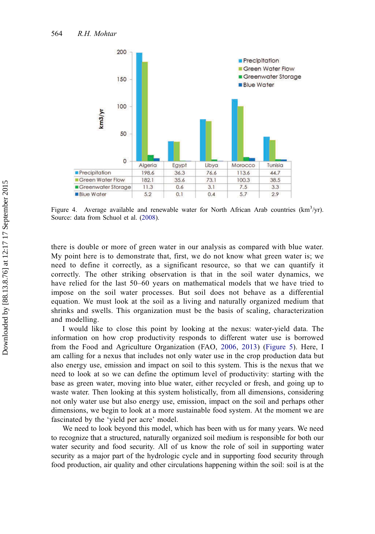<span id="page-6-0"></span>

Figure 4. Average available and renewable water for North African Arab countries  $(km^3/yr)$ . Source: data from Schuol et al. ([2008\)](#page-9-0).

there is double or more of green water in our analysis as compared with blue water. My point here is to demonstrate that, first, we do not know what green water is; we need to define it correctly, as a significant resource, so that we can quantify it correctly. The other striking observation is that in the soil water dynamics, we have relied for the last 50–60 years on mathematical models that we have tried to impose on the soil water processes. But soil does not behave as a differential equation. We must look at the soil as a living and naturally organized medium that shrinks and swells. This organization must be the basis of scaling, characterization and modelling.

I would like to close this point by looking at the nexus: water-yield data. The information on how crop productivity responds to different water use is borrowed from the Food and Agriculture Organization (FAO, [2006](#page-8-0), [2013\)](#page-8-0) ([Figure 5\)](#page-7-0). Here, I am calling for a nexus that includes not only water use in the crop production data but also energy use, emission and impact on soil to this system. This is the nexus that we need to look at so we can define the optimum level of productivity: starting with the base as green water, moving into blue water, either recycled or fresh, and going up to waste water. Then looking at this system holistically, from all dimensions, considering not only water use but also energy use, emission, impact on the soil and perhaps other dimensions, we begin to look at a more sustainable food system. At the moment we are fascinated by the 'yield per acre' model.

We need to look beyond this model, which has been with us for many years. We need to recognize that a structured, naturally organized soil medium is responsible for both our water security and food security. All of us know the role of soil in supporting water security as a major part of the hydrologic cycle and in supporting food security through food production, air quality and other circulations happening within the soil: soil is at the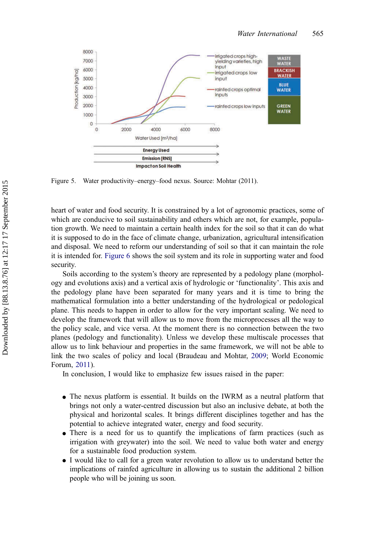<span id="page-7-0"></span>

Figure 5. Water productivity–energy–food nexus. Source: Mohtar (2011).

heart of water and food security. It is constrained by a lot of agronomic practices, some of which are conducive to soil sustainability and others which are not, for example, population growth. We need to maintain a certain health index for the soil so that it can do what it is supposed to do in the face of climate change, urbanization, agricultural intensification and disposal. We need to reform our understanding of soil so that it can maintain the role it is intended for. [Figure 6](#page-8-0) shows the soil system and its role in supporting water and food security.

Soils according to the system's theory are represented by a pedology plane (morphology and evolutions axis) and a vertical axis of hydrologic or 'functionality'. This axis and the pedology plane have been separated for many years and it is time to bring the mathematical formulation into a better understanding of the hydrological or pedological plane. This needs to happen in order to allow for the very important scaling. We need to develop the framework that will allow us to move from the microprocesses all the way to the policy scale, and vice versa. At the moment there is no connection between the two planes (pedology and functionality). Unless we develop these multiscale processes that allow us to link behaviour and properties in the same framework, we will not be able to link the two scales of policy and local (Braudeau and Mohtar, [2009;](#page-8-0) World Economic Forum, [2011](#page-9-0)).

In conclusion, I would like to emphasize few issues raised in the paper:

- The nexus platform is essential. It builds on the IWRM as a neutral platform that brings not only a water-centred discussion but also an inclusive debate, at both the physical and horizontal scales. It brings different disciplines together and has the potential to achieve integrated water, energy and food security.
- There is a need for us to quantify the implications of farm practices (such as irrigation with greywater) into the soil. We need to value both water and energy for a sustainable food production system.
- I would like to call for a green water revolution to allow us to understand better the implications of rainfed agriculture in allowing us to sustain the additional 2 billion people who will be joining us soon.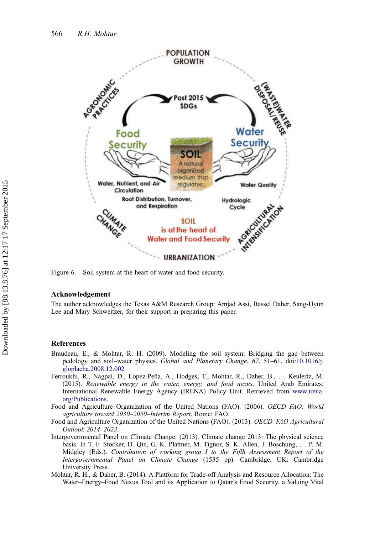<span id="page-8-0"></span>

Figure 6. Soil system at the heart of water and food security.

#### Acknowledgement

The author acknowledges the Texas A&M Research Group: Amjad Assi, Bassel Daher, Sang-Hyun Lee and Mary Schweitzer, for their support in preparing this paper.

#### References

- Braudeau, E., & Mohtar, R. H. (2009). Modeling the soil system: Bridging the gap between pedology and soil–water physics. Global and Planetary Change, 67, 51–61. doi:[10.1016/j.](http://dx.doi.org/10.1016/j.gloplacha.2008.12.002) [gloplacha.2008.12.002](http://dx.doi.org/10.1016/j.gloplacha.2008.12.002)
- Ferroukhi, R., Nagpal, D., Lopez-Peña, A., Hodges, T., Mohtar, R., Daher, B., … Keulertz, M. (2015). Renewable energy in the water, energy, and food nexus. United Arab Emirates: International Renewable Energy Agency (IRENA) Policy Unit. Retrieved from [www.irena.](http://www.irena.org/Publications) [org/Publications](http://www.irena.org/Publications).
- Food and Agriculture Organization of the United Nations (FAO). (2006). OECD–FAO: World agriculture toward 2030–2050–Interim Report. Rome: FAO.
- Food and Agriculture Organization of the United Nations (FAO). (2013). OECD–FAO Agricultural Outlook 2014–2023.
- Intergovernmental Panel on Climate Change. (2013). Climate change 2013: The physical science basis. In T. F. Stocker, D. Qin, G.-K. Plattner, M. Tignor, S. K. Allen, J. Boschung, … P. M. Midgley (Eds.). Contribution of working group I to the Fifth Assessment Report of the Intergovernmental Panel on Climate Change (1535 pp). Cambridge, UK: Cambridge University Press.
- Mohtar, R. H., & Daher, B. (2014). A Platform for Trade-off Analysis and Resource Allocation: The Water–Energy–Food Nexus Tool and its Application to Qatar's Food Security, a Valuing Vital